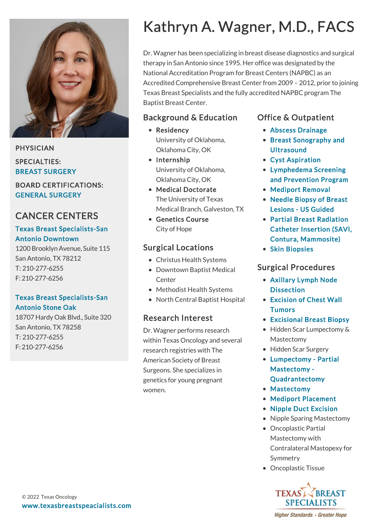

PHYSICIAN SPECIALTIES:

BREAST SURGERY

BOARD CERTIFICATIONS: GENERAL SURGERY

## CANCER CENTERS

#### [Texas Breast Specialists-San](https://www.texasbreastspecialists.com/locations/San-Antonio/Texas-Breast-Specialists-San-Antonio-Downtown) Antonio Downtown

1200 Brooklyn Avenue, Suite 115 San Antonio, TX 78212 T: [210-277-6255](tel:210-277-6255) F: 210-277-6256

### [Texas Breast Specialists-San](https://www.texasbreastspecialists.com/locations/San-Antonio/Texas-Breast-Specialists-San-Antonio-Stone-Oak) Antonio Stone Oak

18707 Hardy Oak Blvd., Suite 320 San Antonio, TX 78258 T: [210-277-6255](tel:210-277-6255) F: 210-277-6256

# Kathryn A. Wagner, M.D., FACS

Dr. Wagner has been specializing in breast disease diagnostics and surgical therapy in San Antonio since 1995. Her office was designated by the National Accreditation Program for Breast Centers (NAPBC) as an Accredited Comprehensive Breast Center from 2009 – 2012, prior to joining Texas Breast Specialists and the fully accredited NAPBC program The Baptist Breast Center.

## Background & Education

- Residency University of Oklahoma, Oklahoma City, OK
- Internship University of Oklahoma, Oklahoma City, OK
- Medical Doctorate The University of Texas Medical Branch, Galveston, TX
- Genetics Course City of Hope

## Surgical Locations

- Christus Health Systems
- Downtown Baptist Medical **Center**
- Methodist Health Systems
- North Central Baptist Hospital

## Research Interest

Dr. Wagner performs research within Texas Oncology and several research registries with The American Society of Breast Surgeons. She specializes in genetics for young pregnant women.

## Office & Outpatient

- [Abscess Drainage](https://www.texasbreastspecialists.com/procedures-services/office-outpatient-procedures-services/abscess-drainage)
- [Breast Sonography and](https://www.texasbreastspecialists.com/procedures-services/office-outpatient-procedures-services/breast-sonography-ultrasound) **Ultrasound**
- [Cyst Aspiration](https://www.texasbreastspecialists.com/procedures-services/office-outpatient-procedures-services/cyst-aspiration)
- Lymphedema Screening [and Prevention Program](https://www.texasbreastspecialists.com/procedures-services/lymphedema-prevention-program)
- [Mediport Removal](https://www.texasbreastspecialists.com/procedures-services/office-outpatient-procedures-services/mediport-removal)
- [Needle Biopsy of Breast](https://www.texasbreastspecialists.com/procedures-services/office-outpatient-procedures-services/needle-biopsy-of-breast-lesions/us-guided) Lesions - US Guided
- Partial Breast Radiation [Catheter Insertion \(SAVI,](https://www.texasbreastspecialists.com/procedures-services/office-outpatient-procedures-services/partial-breast-radiation-catheter-insertion-(savi,-contura,-mammosite)) Contura, Mammosite)
- [Skin Biopsies](https://www.texasbreastspecialists.com/procedures-services/office-outpatient-procedures-services/skin-biopsies)

## Surgical Procedures

- [Axillary Lymph Node](https://www.texasbreastspecialists.com/procedures-services/surgical-procedures/axillary-dissection) **Dissection**
- [Excision of Chest Wall](https://www.texasbreastspecialists.com/procedures-services/surgical-procedures/excision-of-chest-wall-tumors) **Tumors**
- [Excisional Breast Biopsy](https://www.texasbreastspecialists.com/procedures-services/surgical-procedures/excisional-breast-biopsy)
- Hidden Scar Lumpectomy & Mastectomy
- Hidden Scar Surgery
- [Lumpectomy Partial](https://www.texasbreastspecialists.com/procedures-services/surgical-procedures/lumpectomy-partial-mastectomy-quadrantectomy) Mastectomy - Quadrantectomy
- [Mastectomy](https://www.texasbreastspecialists.com/procedures-services/surgical-procedures/mastectomy)
- [Mediport Placement](https://www.texasbreastspecialists.com/procedures-services/surgical-procedures/mediport-placement)
- [Nipple Duct Excision](https://www.texasbreastspecialists.com/procedures-services/surgical-procedures/nipple-duct-excision)
- Nipple Sparing Mastectomy
- Oncoplastic Partial Mastectomy with Contralateral Mastopexy for Symmetry
- Oncoplastic Tissue



**Higher Standards • Greater Hope**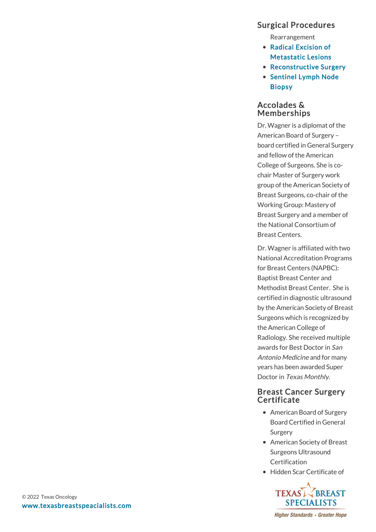## Surgical Procedures

Rearrangement

- Radical Excision of [Metastatic Lesions](https://www.texasbreastspecialists.com/procedures-services/surgical-procedures/radical-excision-of-metastatic-lesions)
- [Reconstructive Surgery](https://www.texasbreastspecialists.com/procedures-services/surgical-procedures/reconstructive-surgery)
- [Sentinel Lymph Node](https://www.texasbreastspecialists.com/procedures-services/surgical-procedures/sentinel-lymph-node-biopsy) Biopsy

#### Accolades & Memberships

Dr. Wagner is a diplomat of the American Board of Surgery – board certified in General Surgery and fellow of the American College of Surgeons. She is cochair Master of Surgery work group of the American Society of Breast Surgeons, co-chair of the Working Group: Mastery of Breast Surgery and a member of the National Consortium of Breast Centers.

Dr. Wagner is affiliated with two National Accreditation Programs for Breast Centers (NAPBC): Baptist Breast Center and Methodist Breast Center. She is certified in diagnostic ultrasound by the American Society of Breast Surgeons which is recognized by the American College of Radiology. She received multiple awards for Best Doctor in San Antonio Medicine and for many years has been awarded Super Doctor in Texas Monthly.

#### Breast Cancer Surgery **Certificate**

- American Board of Surgery Board Certified in General Surgery
- American Society of Breast Surgeons Ultrasound **Certification**
- Hidden Scar Certificate of